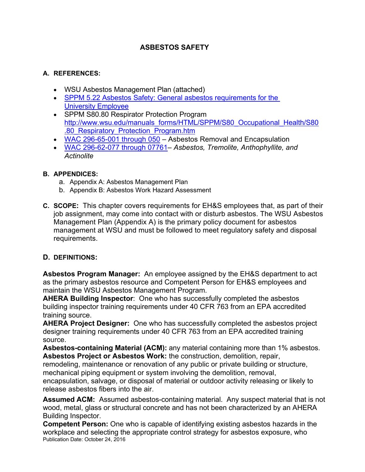# **ASBESTOS SAFETY**

#### **A. REFERENCES:**

- WSU Asbestos Management Plan (attached)
- SPPM 5.22 Asbestos Safety: General asbestos requirements for the University Employee
- SPPM S80.80 Respirator Protection Program http://www.wsu.edu/manuals\_forms/HTML/SPPM/S80\_Occupational\_Health/S80 .80\_Respiratory\_Protection\_Program.htm
- WAC 296-65-001 through  $050 -$  Asbestos Removal and Encapsulation
- WAC 296-62-077 through 07761– *Asbestos, Tremolite, Anthophyllite, and Actinolite*

#### **B. APPENDICES:**

- a. Appendix A: Asbestos Management Plan
- b. Appendix B: Asbestos Work Hazard Assessment
- **C. SCOPE:** This chapter covers requirements for EH&S employees that, as part of their job assignment, may come into contact with or disturb asbestos. The WSU Asbestos Management Plan (Appendix A) is the primary policy document for asbestos management at WSU and must be followed to meet regulatory safety and disposal requirements.

### **D. DEFINITIONS:**

**Asbestos Program Manager:** An employee assigned by the EH&S department to act as the primary asbestos resource and Competent Person for EH&S employees and maintain the WSU Asbestos Management Program.

**AHERA Building Inspector**: One who has successfully completed the asbestos building inspector training requirements under 40 CFR 763 from an EPA accredited training source.

**AHERA Project Designer:** One who has successfully completed the asbestos project designer training requirements under 40 CFR 763 from an EPA accredited training source.

**Asbestos-containing Material (ACM):** any material containing more than 1% asbestos. **Asbestos Project or Asbestos Work:** the construction, demolition, repair,

remodeling, maintenance or renovation of any public or private building or structure, mechanical piping equipment or system involving the demolition, removal,

encapsulation, salvage, or disposal of material or outdoor activity releasing or likely to release asbestos fibers into the air.

**Assumed ACM:** Assumed asbestos-containing material. Any suspect material that is not wood, metal, glass or structural concrete and has not been characterized by an AHERA Building Inspector.

Publication Date: October 24, 2016 **Competent Person:** One who is capable of identifying existing asbestos hazards in the workplace and selecting the appropriate control strategy for asbestos exposure, who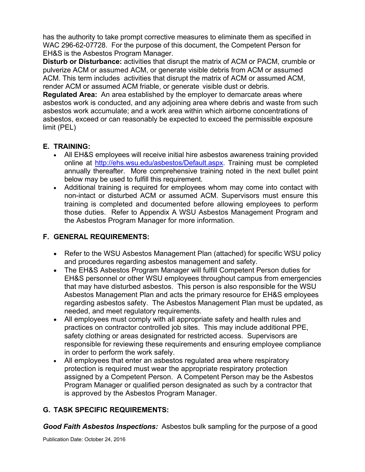has the authority to take prompt corrective measures to eliminate them as specified in WAC 296-62-07728. For the purpose of this document, the Competent Person for EH&S is the Asbestos Program Manager.

**Disturb or Disturbance:** activities that disrupt the matrix of ACM or PACM, crumble or pulverize ACM or assumed ACM, or generate visible debris from ACM or assumed ACM. This term includes activities that disrupt the matrix of ACM or assumed ACM, render ACM or assumed ACM friable, or generate visible dust or debris.

**Regulated Area:** An area established by the employer to demarcate areas where asbestos work is conducted, and any adjoining area where debris and waste from such asbestos work accumulate; and a work area within which airborne concentrations of asbestos, exceed or can reasonably be expected to exceed the permissible exposure limit (PEL)

## **E. TRAINING:**

- All EH&S employees will receive initial hire asbestos awareness training provided online at http://ehs.wsu.edu/asbestos/Default.aspx. Training must be completed annually thereafter. More comprehensive training noted in the next bullet point below may be used to fulfill this requirement.
- Additional training is required for employees whom may come into contact with non-intact or disturbed ACM or assumed ACM. Supervisors must ensure this training is completed and documented before allowing employees to perform those duties. Refer to Appendix A WSU Asbestos Management Program and the Asbestos Program Manager for more information.

# **F. GENERAL REQUIREMENTS:**

- Refer to the WSU Asbestos Management Plan (attached) for specific WSU policy and procedures regarding asbestos management and safety.
- The EH&S Asbestos Program Manager will fulfill Competent Person duties for EH&S personnel or other WSU employees throughout campus from emergencies that may have disturbed asbestos. This person is also responsible for the WSU Asbestos Management Plan and acts the primary resource for EH&S employees regarding asbestos safety. The Asbestos Management Plan must be updated, as needed, and meet regulatory requirements.
- All employees must comply with all appropriate safety and health rules and practices on contractor controlled job sites. This may include additional PPE, safety clothing or areas designated for restricted access. Supervisors are responsible for reviewing these requirements and ensuring employee compliance in order to perform the work safely.
- All employees that enter an asbestos regulated area where respiratory protection is required must wear the appropriate respiratory protection assigned by a Competent Person. A Competent Person may be the Asbestos Program Manager or qualified person designated as such by a contractor that is approved by the Asbestos Program Manager.

# **G. TASK SPECIFIC REQUIREMENTS:**

*Good Faith Asbestos Inspections:* Asbestos bulk sampling for the purpose of a good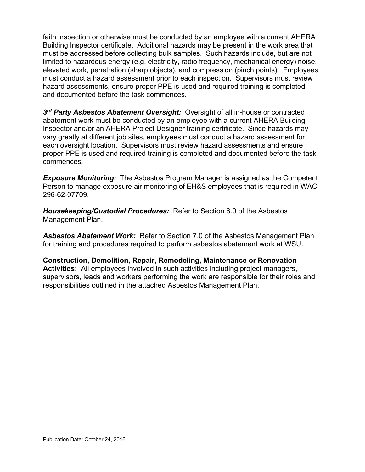faith inspection or otherwise must be conducted by an employee with a current AHERA Building Inspector certificate. Additional hazards may be present in the work area that must be addressed before collecting bulk samples. Such hazards include, but are not limited to hazardous energy (e.g. electricity, radio frequency, mechanical energy) noise, elevated work, penetration (sharp objects), and compression (pinch points). Employees must conduct a hazard assessment prior to each inspection. Supervisors must review hazard assessments, ensure proper PPE is used and required training is completed and documented before the task commences.

*3rd Party Asbestos Abatement Oversight:* Oversight of all in-house or contracted abatement work must be conducted by an employee with a current AHERA Building Inspector and/or an AHERA Project Designer training certificate. Since hazards may vary greatly at different job sites, employees must conduct a hazard assessment for each oversight location. Supervisors must review hazard assessments and ensure proper PPE is used and required training is completed and documented before the task commences.

*Exposure Monitoring:* The Asbestos Program Manager is assigned as the Competent Person to manage exposure air monitoring of EH&S employees that is required in WAC 296-62-07709.

*Housekeeping/Custodial Procedures:* Refer to Section 6.0 of the Asbestos Management Plan.

*Asbestos Abatement Work:* Refer to Section 7.0 of the Asbestos Management Plan for training and procedures required to perform asbestos abatement work at WSU.

**Construction, Demolition, Repair, Remodeling, Maintenance or Renovation Activities:** All employees involved in such activities including project managers, supervisors, leads and workers performing the work are responsible for their roles and responsibilities outlined in the attached Asbestos Management Plan.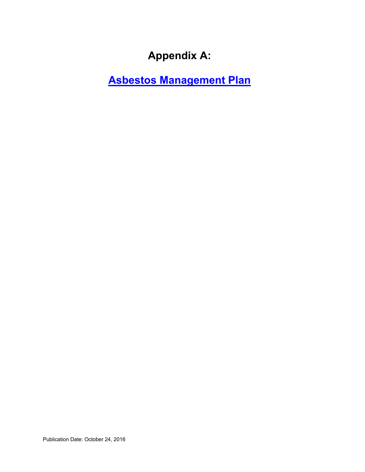# **Appendix A:**

**Asbestos Management Plan**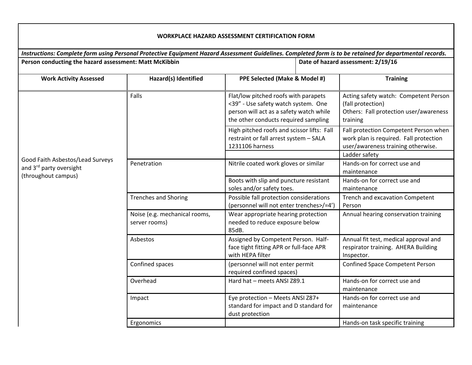|                                                                                    |                                                                                                                                                                         |                                                                                                         |  | Instructions: Complete form using Personal Protective Equipment Hazard Assessment Guidelines. Completed form is to be retained for departmental records. |  |
|------------------------------------------------------------------------------------|-------------------------------------------------------------------------------------------------------------------------------------------------------------------------|---------------------------------------------------------------------------------------------------------|--|----------------------------------------------------------------------------------------------------------------------------------------------------------|--|
| Person conducting the hazard assessment: Matt McKibbin                             |                                                                                                                                                                         |                                                                                                         |  | Date of hazard assessment: 2/19/16                                                                                                                       |  |
| <b>Work Activity Assessed</b>                                                      | Hazard(s) Identified                                                                                                                                                    | PPE Selected (Make & Model #)                                                                           |  | <b>Training</b>                                                                                                                                          |  |
| Good Faith Asbestos/Lead Surveys<br>and 3rd party oversight<br>(throughout campus) | Falls<br>Flat/low pitched roofs with parapets<br><39" - Use safety watch system. One<br>person will act as a safety watch while<br>the other conducts required sampling |                                                                                                         |  | Acting safety watch: Competent Person<br>(fall protection)<br>Others: Fall protection user/awareness<br>training                                         |  |
|                                                                                    |                                                                                                                                                                         | High pitched roofs and scissor lifts: Fall<br>restraint or fall arrest system - SALA<br>1231106 harness |  | Fall protection Competent Person when<br>work plan is required. Fall protection<br>user/awareness training otherwise.<br>Ladder safety                   |  |
|                                                                                    | Penetration                                                                                                                                                             | Nitrile coated work gloves or similar                                                                   |  | Hands-on for correct use and<br>maintenance                                                                                                              |  |
|                                                                                    |                                                                                                                                                                         | Boots with slip and puncture resistant<br>soles and/or safety toes.                                     |  | Hands-on for correct use and<br>maintenance                                                                                                              |  |
|                                                                                    | <b>Trenches and Shoring</b>                                                                                                                                             | Possible fall protection considerations<br>(personnel will not enter trenches>/=4')                     |  | Trench and excavation Competent<br>Person                                                                                                                |  |
|                                                                                    | Noise (e.g. mechanical rooms,<br>server rooms)                                                                                                                          | Wear appropriate hearing protection<br>needed to reduce exposure below<br>85dB.                         |  | Annual hearing conservation training                                                                                                                     |  |
|                                                                                    | Asbestos                                                                                                                                                                | Assigned by Competent Person. Half-<br>face tight fitting APR or full-face APR<br>with HEPA filter      |  | Annual fit test, medical approval and<br>respirator training. AHERA Building<br>Inspector.                                                               |  |
|                                                                                    | Confined spaces                                                                                                                                                         | (personnel will not enter permit<br>required confined spaces)                                           |  | <b>Confined Space Competent Person</b>                                                                                                                   |  |
|                                                                                    | Overhead                                                                                                                                                                | Hard hat - meets ANSI Z89.1                                                                             |  | Hands-on for correct use and<br>maintenance                                                                                                              |  |
|                                                                                    | Impact                                                                                                                                                                  | Eye protection - Meets ANSI Z87+<br>standard for impact and D standard for<br>dust protection           |  | Hands-on for correct use and<br>maintenance                                                                                                              |  |
|                                                                                    | Ergonomics                                                                                                                                                              |                                                                                                         |  | Hands-on task specific training                                                                                                                          |  |

#### **WORKPLACE HAZARD ASSESSMENT CERTIFICATION FORM**